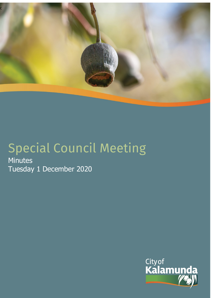

# Special Council Meeting

Minutes Tuesday 1 December 2020

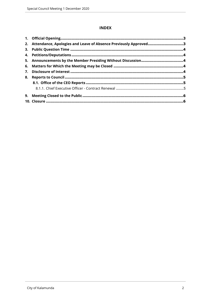# **INDEX**

| 2. Attendance, Apologies and Leave of Absence Previously Approved3 |  |
|--------------------------------------------------------------------|--|
|                                                                    |  |
|                                                                    |  |
|                                                                    |  |
|                                                                    |  |
|                                                                    |  |
|                                                                    |  |
|                                                                    |  |
|                                                                    |  |
|                                                                    |  |
|                                                                    |  |
|                                                                    |  |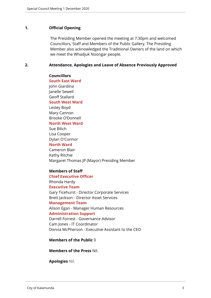#### <span id="page-2-0"></span>**1. Official Opening**

The Presiding Member opened the meeting at 7:30pm and welcomed Councillors, Staff and Members of the Public Gallery. The Presiding Member also acknowledged the Traditional Owners of the land on which we meet the Whadjuk Noongar people.

### <span id="page-2-1"></span>**2. Attendance, Apologies and Leave of Absence Previously Approved**

**Councillors South East Ward**  John Giardina Janelle Sewell Geoff Stallard **South West Ward** Lesley Boyd Mary Cannon Brooke O'Donnell **North West Ward** Sue Bilich Lisa Cooper Dylan O'Connor **North Ward** Cameron Blair Kathy Ritchie Margaret Thomas JP (Mayor) Presiding Member

# **Members of Staff**

**Chief Executive Officer** Rhonda Hardy **Executive Team** Gary Ticehurst - Director Corporate Services Brett Jackson - Director Asset Services **Management Team** Alison Egan - Manager Human Resources **Administration Support** Darrell Forrest - Governance Advisor Cam Jones - IT Coordinator Donna McPherson - Executive Assistant to the CEO

#### **Members of the Public** 0

**Members of the Press** Nil.

**Apologies** Nil.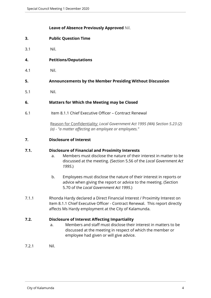# **Leave of Absence Previously Approved** Nil.

- <span id="page-3-0"></span>**3. Public Question Time**
- 3.1 Nil.
- <span id="page-3-1"></span>**4. Petitions/Deputations**
- 4.1 Nil.
- <span id="page-3-2"></span>**5. Announcements by the Member Presiding Without Discussion**
- 5.1 Nil.

# <span id="page-3-3"></span>**6. Matters for Which the Meeting may be Closed**

6.1 Item 8.1.1 Chief Executive Officer – Contract Renewal

Reason for Confidentiality: *Local Government Act 1995 (WA) Section 5.23 (2) (a) - "a matter affecting an employee or employees."*

<span id="page-3-4"></span>**7. Disclosure of Interest**

# **7.1. Disclosure of Financial and Proximity Interests**

- a. Members must disclose the nature of their interest in matter to be discussed at the meeting. (Section 5.56 of the *Local Government Act 1995*.)
- b. Employees must disclose the nature of their interest in reports or advice when giving the report or advice to the meeting. (Section 5.70 of the *Local Government Act 1995*.)
- 7.1.1 Rhonda Hardy declared a Direct Financial Interest / Proximity Interest on Item 8.1.1 Chief Executive Officer - Contract Renewal. This report directly affects Ms Hardy employment at the City of Kalamunda.

# **7.2. Disclosure of Interest Affecting Impartiality**

- a. Members and staff must disclose their interest in matters to be discussed at the meeting in respect of which the member or employee had given or will give advice.
- 7.2.1 Nil.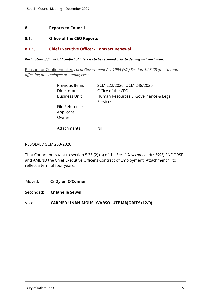## <span id="page-4-0"></span>**8. Reports to Council**

# <span id="page-4-1"></span>**8.1. Office of the CEO Reports**

## <span id="page-4-2"></span>**8.1.1. Chief Executive Officer - Contract Renewal**

#### *Declaration of financial / conflict of interests to be recorded prior to dealing with each item.*

Reason for Confidentiality: *Local Government Act 1995 (WA) Section 5.23 (2) (a) - "a matter affecting an employee or employees."*

| Previous Items                       | SCM 222/2020; OCM 248/2020                       |
|--------------------------------------|--------------------------------------------------|
| Directorate                          | Office of the CEO                                |
| <b>Business Unit</b>                 | Human Resources & Governance & Legal<br>Services |
| File Reference<br>Applicant<br>Owner |                                                  |

Attachments Nil

#### RESOLVED SCM 253/2020

That Council pursuant to section 5.36 (2) (b) of the *Local Government Act 1995,* ENDORSE and AMEND the Chief Executive Officer's Contract of Employment (Attachment 1) to reflect a term of four years.

Moved: **Cr Dylan O'Connor**

Seconded: **Cr Janelle Sewell**

Vote: **CARRIED UNANIMOUSLY/ABSOLUTE MAJORITY (12/0)**